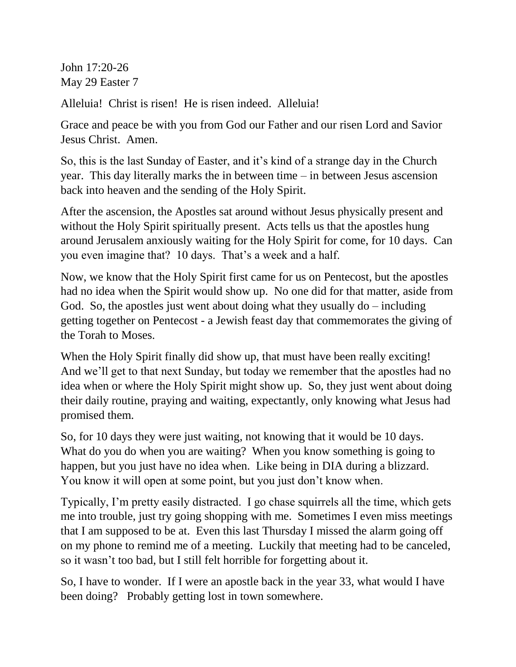John 17:20-26 May 29 Easter 7

Alleluia! Christ is risen! He is risen indeed. Alleluia!

Grace and peace be with you from God our Father and our risen Lord and Savior Jesus Christ. Amen.

So, this is the last Sunday of Easter, and it's kind of a strange day in the Church year. This day literally marks the in between time – in between Jesus ascension back into heaven and the sending of the Holy Spirit.

After the ascension, the Apostles sat around without Jesus physically present and without the Holy Spirit spiritually present. Acts tells us that the apostles hung around Jerusalem anxiously waiting for the Holy Spirit for come, for 10 days. Can you even imagine that? 10 days. That's a week and a half.

Now, we know that the Holy Spirit first came for us on Pentecost, but the apostles had no idea when the Spirit would show up. No one did for that matter, aside from God. So, the apostles just went about doing what they usually  $d\sigma$  – including getting together on Pentecost - a Jewish feast day that commemorates the giving of the Torah to Moses.

When the Holy Spirit finally did show up, that must have been really exciting! And we'll get to that next Sunday, but today we remember that the apostles had no idea when or where the Holy Spirit might show up. So, they just went about doing their daily routine, praying and waiting, expectantly, only knowing what Jesus had promised them.

So, for 10 days they were just waiting, not knowing that it would be 10 days. What do you do when you are waiting? When you know something is going to happen, but you just have no idea when. Like being in DIA during a blizzard. You know it will open at some point, but you just don't know when.

Typically, I'm pretty easily distracted. I go chase squirrels all the time, which gets me into trouble, just try going shopping with me. Sometimes I even miss meetings that I am supposed to be at. Even this last Thursday I missed the alarm going off on my phone to remind me of a meeting. Luckily that meeting had to be canceled, so it wasn't too bad, but I still felt horrible for forgetting about it.

So, I have to wonder. If I were an apostle back in the year 33, what would I have been doing? Probably getting lost in town somewhere.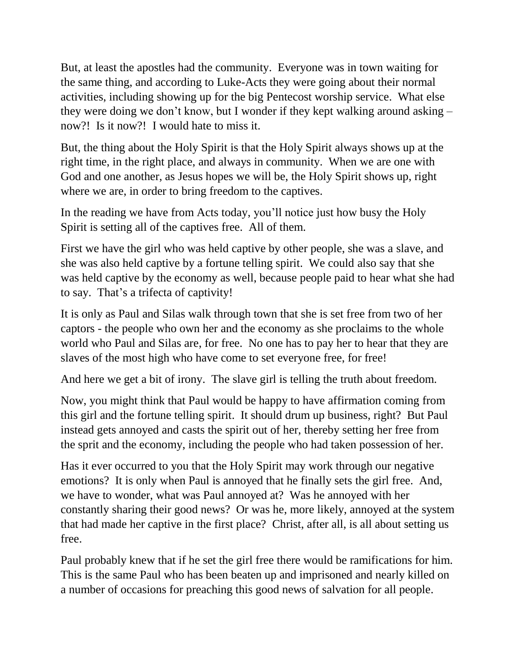But, at least the apostles had the community. Everyone was in town waiting for the same thing, and according to Luke-Acts they were going about their normal activities, including showing up for the big Pentecost worship service. What else they were doing we don't know, but I wonder if they kept walking around asking – now?! Is it now?! I would hate to miss it.

But, the thing about the Holy Spirit is that the Holy Spirit always shows up at the right time, in the right place, and always in community. When we are one with God and one another, as Jesus hopes we will be, the Holy Spirit shows up, right where we are, in order to bring freedom to the captives.

In the reading we have from Acts today, you'll notice just how busy the Holy Spirit is setting all of the captives free. All of them.

First we have the girl who was held captive by other people, she was a slave, and she was also held captive by a fortune telling spirit. We could also say that she was held captive by the economy as well, because people paid to hear what she had to say. That's a trifecta of captivity!

It is only as Paul and Silas walk through town that she is set free from two of her captors - the people who own her and the economy as she proclaims to the whole world who Paul and Silas are, for free. No one has to pay her to hear that they are slaves of the most high who have come to set everyone free, for free!

And here we get a bit of irony. The slave girl is telling the truth about freedom.

Now, you might think that Paul would be happy to have affirmation coming from this girl and the fortune telling spirit. It should drum up business, right? But Paul instead gets annoyed and casts the spirit out of her, thereby setting her free from the sprit and the economy, including the people who had taken possession of her.

Has it ever occurred to you that the Holy Spirit may work through our negative emotions? It is only when Paul is annoyed that he finally sets the girl free. And, we have to wonder, what was Paul annoyed at? Was he annoyed with her constantly sharing their good news? Or was he, more likely, annoyed at the system that had made her captive in the first place? Christ, after all, is all about setting us free.

Paul probably knew that if he set the girl free there would be ramifications for him. This is the same Paul who has been beaten up and imprisoned and nearly killed on a number of occasions for preaching this good news of salvation for all people.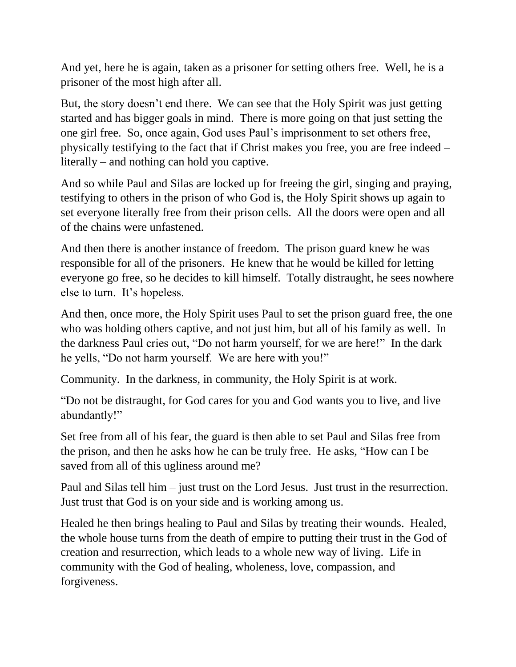And yet, here he is again, taken as a prisoner for setting others free. Well, he is a prisoner of the most high after all.

But, the story doesn't end there. We can see that the Holy Spirit was just getting started and has bigger goals in mind. There is more going on that just setting the one girl free. So, once again, God uses Paul's imprisonment to set others free, physically testifying to the fact that if Christ makes you free, you are free indeed – literally – and nothing can hold you captive.

And so while Paul and Silas are locked up for freeing the girl, singing and praying, testifying to others in the prison of who God is, the Holy Spirit shows up again to set everyone literally free from their prison cells. All the doors were open and all of the chains were unfastened.

And then there is another instance of freedom. The prison guard knew he was responsible for all of the prisoners. He knew that he would be killed for letting everyone go free, so he decides to kill himself. Totally distraught, he sees nowhere else to turn. It's hopeless.

And then, once more, the Holy Spirit uses Paul to set the prison guard free, the one who was holding others captive, and not just him, but all of his family as well. In the darkness Paul cries out, "Do not harm yourself, for we are here!" In the dark he yells, "Do not harm yourself. We are here with you!"

Community. In the darkness, in community, the Holy Spirit is at work.

"Do not be distraught, for God cares for you and God wants you to live, and live abundantly!"

Set free from all of his fear, the guard is then able to set Paul and Silas free from the prison, and then he asks how he can be truly free. He asks, "How can I be saved from all of this ugliness around me?

Paul and Silas tell him – just trust on the Lord Jesus. Just trust in the resurrection. Just trust that God is on your side and is working among us.

Healed he then brings healing to Paul and Silas by treating their wounds. Healed, the whole house turns from the death of empire to putting their trust in the God of creation and resurrection, which leads to a whole new way of living. Life in community with the God of healing, wholeness, love, compassion, and forgiveness.